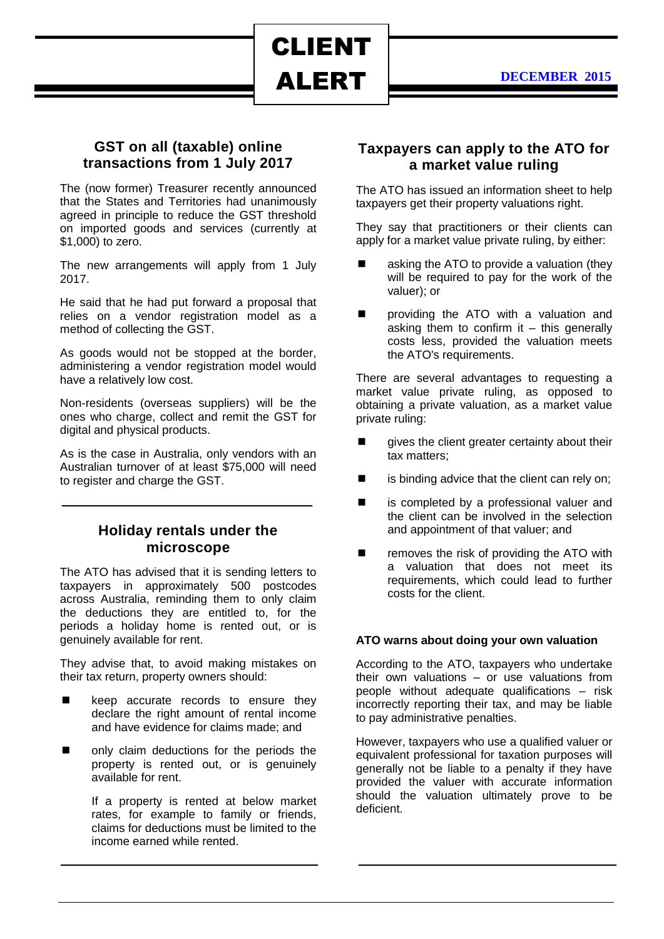ALERT

CLIENT

### **GST on all (taxable) online transactions from 1 July 2017**

The (now former) Treasurer recently announced that the States and Territories had unanimously agreed in principle to reduce the GST threshold on imported goods and services (currently at \$1,000) to zero.

The new arrangements will apply from 1 July 2017.

He said that he had put forward a proposal that relies on a vendor registration model as a method of collecting the GST.

As goods would not be stopped at the border, administering a vendor registration model would have a relatively low cost.

Non-residents (overseas suppliers) will be the ones who charge, collect and remit the GST for digital and physical products.

As is the case in Australia, only vendors with an Australian turnover of at least \$75,000 will need to register and charge the GST.

## **Holiday rentals under the microscope**

The ATO has advised that it is sending letters to taxpayers in approximately 500 postcodes across Australia, reminding them to only claim the deductions they are entitled to, for the periods a holiday home is rented out, or is genuinely available for rent.

They advise that, to avoid making mistakes on their tax return, property owners should:

- E keep accurate records to ensure they declare the right amount of rental income and have evidence for claims made; and
- only claim deductions for the periods the property is rented out, or is genuinely available for rent.

If a property is rented at below market rates, for example to family or friends, claims for deductions must be limited to the income earned while rented.

## **Taxpayers can apply to the ATO for a market value ruling**

The ATO has issued an information sheet to help taxpayers get their property valuations right.

They say that practitioners or their clients can apply for a market value private ruling, by either:

- asking the ATO to provide a valuation (they will be required to pay for the work of the valuer); or
- providing the ATO with a valuation and asking them to confirm it  $-$  this generally costs less, provided the valuation meets the ATO's requirements.

There are several advantages to requesting a market value private ruling, as opposed to obtaining a private valuation, as a market value private ruling:

- gives the client greater certainty about their tax matters;
- is binding advice that the client can rely on;
- is completed by a professional valuer and the client can be involved in the selection and appointment of that valuer; and
- removes the risk of providing the ATO with a valuation that does not meet its requirements, which could lead to further costs for the client.

#### **ATO warns about doing your own valuation**

According to the ATO, taxpayers who undertake their own valuations – or use valuations from people without adequate qualifications – risk incorrectly reporting their tax, and may be liable to pay administrative penalties.

However, taxpayers who use a qualified valuer or equivalent professional for taxation purposes will generally not be liable to a penalty if they have provided the valuer with accurate information should the valuation ultimately prove to be deficient.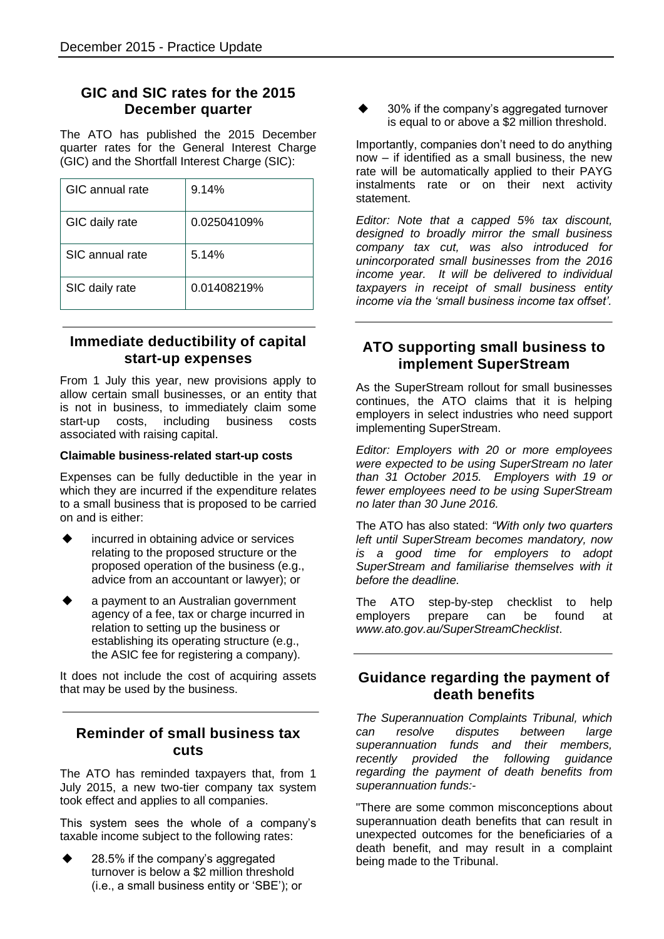# **GIC and SIC rates for the 2015 December quarter**

The ATO has published the 2015 December quarter rates for the General Interest Charge (GIC) and the Shortfall Interest Charge (SIC):

| GIC annual rate | 9.14%       |
|-----------------|-------------|
| GIC daily rate  | 0.02504109% |
| SIC annual rate | 5.14%       |
| SIC daily rate  | 0.01408219% |

# **Immediate deductibility of capital start-up expenses**

From 1 July this year, new provisions apply to allow certain small businesses, or an entity that is not in business, to immediately claim some start-up costs, including business costs associated with raising capital.

#### **Claimable business-related start-up costs**

Expenses can be fully deductible in the year in which they are incurred if the expenditure relates to a small business that is proposed to be carried on and is either:

- incurred in obtaining advice or services relating to the proposed structure or the proposed operation of the business (e.g., advice from an accountant or lawyer); or
- a payment to an Australian government agency of a fee, tax or charge incurred in relation to setting up the business or establishing its operating structure (e.g., the ASIC fee for registering a company).

It does not include the cost of acquiring assets that may be used by the business.

# **Reminder of small business tax cuts**

The ATO has reminded taxpayers that, from 1 July 2015, a new two-tier company tax system took effect and applies to all companies.

This system sees the whole of a company's taxable income subject to the following rates:

 28.5% if the company's aggregated turnover is below a \$2 million threshold (i.e., a small business entity or 'SBE'); or  30% if the company's aggregated turnover is equal to or above a \$2 million threshold.

Importantly, companies don't need to do anything now – if identified as a small business, the new rate will be automatically applied to their PAYG instalments rate or on their next activity statement.

*Editor: Note that a capped 5% tax discount, designed to broadly mirror the small business company tax cut, was also introduced for unincorporated small businesses from the 2016 income year. It will be delivered to individual taxpayers in receipt of small business entity income via the 'small business income tax offset'.*

# **ATO supporting small business to implement SuperStream**

As the SuperStream rollout for small businesses continues, the ATO claims that it is helping employers in select industries who need support implementing SuperStream.

*Editor: Employers with 20 or more employees were expected to be using SuperStream no later than 31 October 2015. Employers with 19 or fewer employees need to be using SuperStream no later than 30 June 2016.*

The ATO has also stated: *"With only two quarters left until SuperStream becomes mandatory, now is a good time for employers to adopt SuperStream and familiarise themselves with it before the deadline.*

The ATO step-by-step checklist to help employers prepare can be found at *www.ato.gov.au/SuperStreamChecklist*.

## **Guidance regarding the payment of death benefits**

*The Superannuation Complaints Tribunal, which can resolve disputes between large superannuation funds and their members, recently provided the following guidance regarding the payment of death benefits from superannuation funds:-*

"There are some common misconceptions about superannuation death benefits that can result in unexpected outcomes for the beneficiaries of a death benefit, and may result in a complaint being made to the Tribunal.